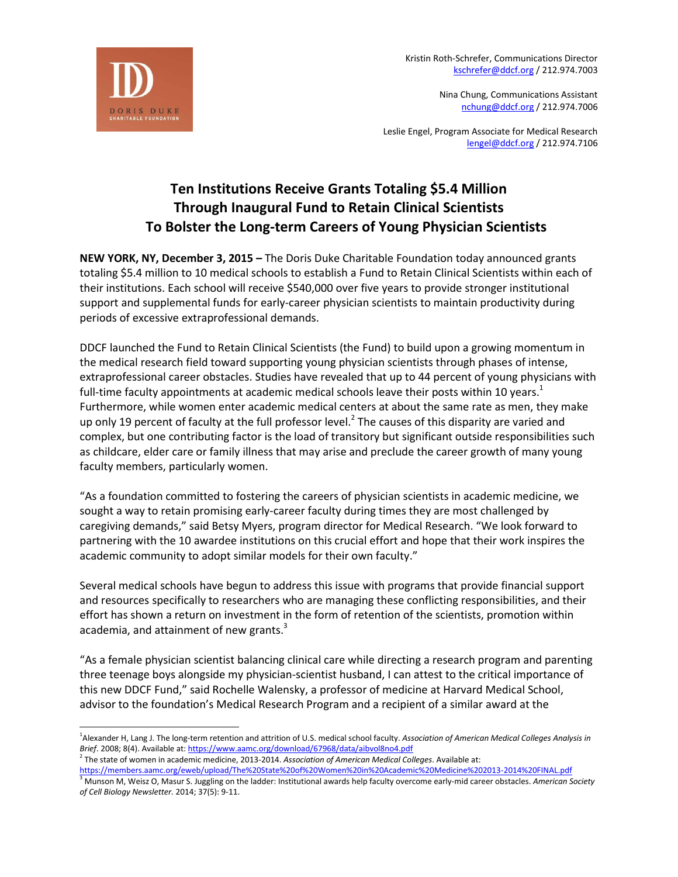

Kristin Roth-Schrefer, Communications Director [kschrefer@ddcf.org](mailto:kschrefer@ddcf.org) / 212.974.7003

> Nina Chung, Communications Assistant [nchung@ddcf.org](mailto:nchung@ddcf.org) / 212.974.7006

Leslie Engel, Program Associate for Medical Research [lengel@ddcf.org](mailto:lengel@ddcf.org) / 212.974.7106

## **Ten Institutions Receive Grants Totaling \$5.4 Million Through Inaugural Fund to Retain Clinical Scientists To Bolster the Long-term Careers of Young Physician Scientists**

**NEW YORK, NY, December 3, 2015 –** The Doris Duke Charitable Foundation today announced grants totaling \$5.4 million to 10 medical schools to establish a Fund to Retain Clinical Scientists within each of their institutions. Each school will receive \$540,000 over five years to provide stronger institutional support and supplemental funds for early-career physician scientists to maintain productivity during periods of excessive extraprofessional demands.

DDCF launched the Fund to Retain Clinical Scientists (the Fund) to build upon a growing momentum in the medical research field toward supporting young physician scientists through phases of intense, extraprofessional career obstacles. Studies have revealed that up to 44 percent of young physicians with full-time faculty appointments at academic medical schools leave their posts within 10 years. $1$ Furthermore, while women enter academic medical centers at about the same rate as men, they make up only 19 percent of faculty at the full professor level.<sup>2</sup> The causes of this disparity are varied and complex, but one contributing factor is the load of transitory but significant outside responsibilities such as childcare, elder care or family illness that may arise and preclude the career growth of many young faculty members, particularly women.

"As a foundation committed to fostering the careers of physician scientists in academic medicine, we sought a way to retain promising early-career faculty during times they are most challenged by caregiving demands," said Betsy Myers, program director for Medical Research. "We look forward to partnering with the 10 awardee institutions on this crucial effort and hope that their work inspires the academic community to adopt similar models for their own faculty."

Several medical schools have begun to address this issue with programs that provide financial support and resources specifically to researchers who are managing these conflicting responsibilities, and their effort has shown a return on investment in the form of retention of the scientists, promotion within academia, and attainment of new grants.<sup>3</sup>

"As a female physician scientist balancing clinical care while directing a research program and parenting three teenage boys alongside my physician-scientist husband, I can attest to the critical importance of this new DDCF Fund," said Rochelle Walensky, a professor of medicine at Harvard Medical School, advisor to the foundation's Medical Research Program and a recipient of a similar award at the

 $\overline{a}$ 

<sup>1</sup> Alexander H, Lang J. The long-term retention and attrition of U.S. medical school faculty. *Association of American Medical Colleges Analysis in Brief*. 2008; 8(4). Available at[: https://www.aamc.org/download/67968/data/aibvol8no4.pdf](https://www.aamc.org/download/67968/data/aibvol8no4.pdf)

<sup>2</sup> The state of women in academic medicine, 2013-2014. *Association of American Medical Colleges*. Available at:

<https://members.aamc.org/eweb/upload/The%20State%20of%20Women%20in%20Academic%20Medicine%202013-2014%20FINAL.pdf> <sup>3</sup> Munson M, Weisz O, Masur S. Juggling on the ladder: Institutional awards help faculty overcome early-mid career obstacles. *American Society* 

*of Cell Biology Newsletter.* 2014; 37(5): 9-11.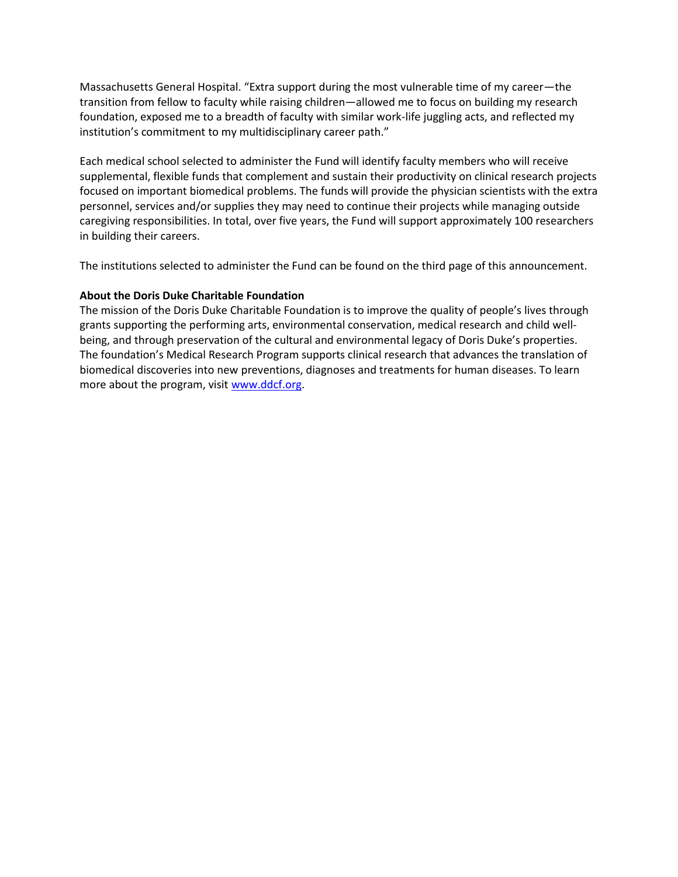Massachusetts General Hospital. "Extra support during the most vulnerable time of my career—the transition from fellow to faculty while raising children—allowed me to focus on building my research foundation, exposed me to a breadth of faculty with similar work-life juggling acts, and reflected my institution's commitment to my multidisciplinary career path."

Each medical school selected to administer the Fund will identify faculty members who will receive supplemental, flexible funds that complement and sustain their productivity on clinical research projects focused on important biomedical problems. The funds will provide the physician scientists with the extra personnel, services and/or supplies they may need to continue their projects while managing outside caregiving responsibilities. In total, over five years, the Fund will support approximately 100 researchers in building their careers.

The institutions selected to administer the Fund can be found on the third page of this announcement.

## **About the Doris Duke Charitable Foundation**

The mission of the Doris Duke Charitable Foundation is to improve the quality of people's lives through grants supporting the performing arts, environmental conservation, medical research and child wellbeing, and through preservation of the cultural and environmental legacy of Doris Duke's properties. The foundation's Medical Research Program supports clinical research that advances the translation of biomedical discoveries into new preventions, diagnoses and treatments for human diseases. To learn more about the program, visit [www.ddcf.org.](http://www.ddcf.org/)